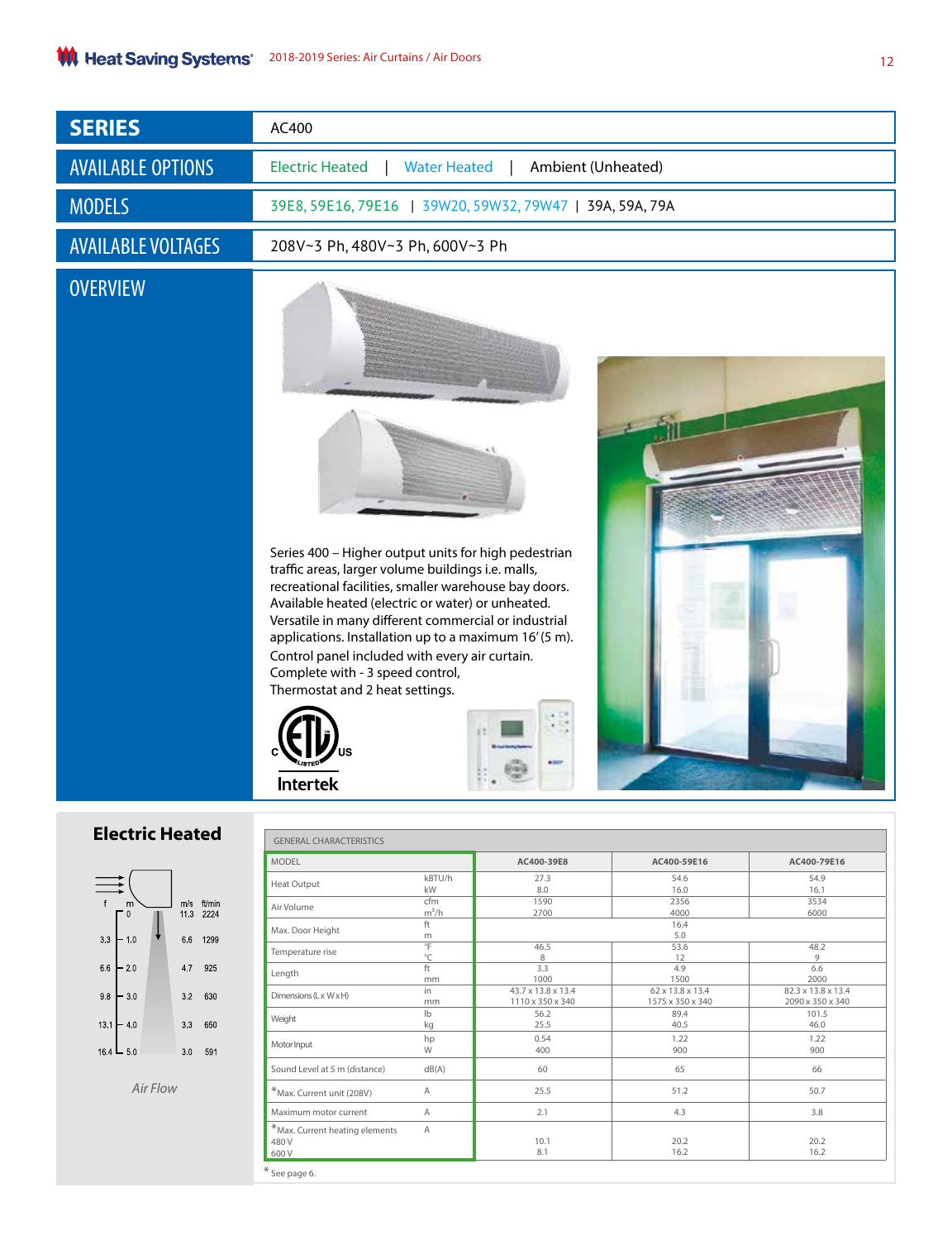| <b>SERIES</b>                                            | AC400                                                                                                                                                                                                                                                                                                                                                                                                                                                             |  |  |  |  |
|----------------------------------------------------------|-------------------------------------------------------------------------------------------------------------------------------------------------------------------------------------------------------------------------------------------------------------------------------------------------------------------------------------------------------------------------------------------------------------------------------------------------------------------|--|--|--|--|
| <b>AVAILABLE OPTIONS</b>                                 | <b>Electric Heated</b><br><b>Water Heated</b><br>Ambient (Unheated)                                                                                                                                                                                                                                                                                                                                                                                               |  |  |  |  |
| <b>MODELS</b>                                            | 39E8, 59E16, 79E16   39W20, 59W32, 79W47   39A, 59A, 79A                                                                                                                                                                                                                                                                                                                                                                                                          |  |  |  |  |
| <b>AVAILABLE VOLTAGES</b>                                | 208V~3 Ph, 480V~3 Ph, 600V~3 Ph                                                                                                                                                                                                                                                                                                                                                                                                                                   |  |  |  |  |
| <b>OVERVIEW</b>                                          | Series 400 - Higher output units for high pedestrian<br>traffic areas, larger volume buildings i.e. malls,<br>recreational facilities, smaller warehouse bay doors.<br>Available heated (electric or water) or unheated.<br>Versatile in many different commercial or industrial<br>applications. Installation up to a maximum 16'(5 m).<br>Control panel included with every air curtain.<br>Complete with - 3 speed control,<br>Thermostat and 2 heat settings. |  |  |  |  |
|                                                          | -<br><b>Intertek</b>                                                                                                                                                                                                                                                                                                                                                                                                                                              |  |  |  |  |
| <b>Electric Heated</b><br><b>GENERAL CHARACTERISTICS</b> |                                                                                                                                                                                                                                                                                                                                                                                                                                                                   |  |  |  |  |
|                                                          | <b>MODEL</b><br>AC400-39E8<br>AC400-59E16<br>AC400-79E16                                                                                                                                                                                                                                                                                                                                                                                                          |  |  |  |  |
|                                                          | kBTU/h<br>27.3<br>54.6<br>54.9<br>Heat Output<br>kW<br>8.0<br>16.0<br>16.1                                                                                                                                                                                                                                                                                                                                                                                        |  |  |  |  |
| m/s ft/min<br>11.3 2224<br>$\mathbf{0}$                  | 1590<br>2356<br>3534<br>cfm<br>Air Volume<br>$m^3/h$<br>2700<br>4000<br>6000                                                                                                                                                                                                                                                                                                                                                                                      |  |  |  |  |
|                                                          | ft<br>16.4<br>Max. Door Height<br>5.0<br>${\sf m}$                                                                                                                                                                                                                                                                                                                                                                                                                |  |  |  |  |
| 1299<br>3.3<br>6.6<br>$-10$                              | °F<br>46.5<br>53.6<br>48.2<br>Temperature rise<br>$^{\circ}$ C<br>9<br>8<br>12                                                                                                                                                                                                                                                                                                                                                                                    |  |  |  |  |
| $66 - 20$<br>47 925                                      | 3.3<br>ft<br>4.9<br>6.6<br>l anath                                                                                                                                                                                                                                                                                                                                                                                                                                |  |  |  |  |

| $13.1 - 4.0$ | 3.3 |
|--------------|-----|
| $164 - 50$   | 3.0 |

3 2 6 3 0

650

591

 $98 - 30$ 

*Air Flow*

| <b>MODEL</b>                      |                | AC400-39E8         | AC400-59E16      | AC400-79E16        |  |
|-----------------------------------|----------------|--------------------|------------------|--------------------|--|
| <b>Heat Output</b>                | kBTU/h         | 27.3               | 54.6             | 54.9               |  |
|                                   | kW             | 8.0                | 16.0             | 16.1               |  |
| Air Volume                        | cfm            | 1590               | 2356             | 3534               |  |
|                                   | $m^3/h$        | 2700               | 4000             | 6000               |  |
|                                   | ft             | 16.4               |                  |                    |  |
| Max. Door Height                  | m              | 5.0                |                  |                    |  |
| Temperature rise                  | $\overline{F}$ | 46.5               | 53.6             | 48.2               |  |
|                                   | $^{\circ}$ C   | 8                  | 12               | 9                  |  |
| Length                            | ft             | 3.3                | 4.9              | 6.6                |  |
|                                   | mm             | 1000               | 1500             | 2000               |  |
| Dimensions (Lx WxH)               | in             | 43.7 x 13.8 x 13.4 | 62 x 13.8 x 13.4 | 82.3 x 13.8 x 13.4 |  |
|                                   | mm             | 1110 x 350 x 340   | 1575 x 350 x 340 | 2090 x 350 x 340   |  |
| Weight                            | I <sub>b</sub> | 56.2               | 89.4             | 101.5              |  |
|                                   | kg             | 25.5               | 40.5             | 46.0               |  |
|                                   | hp             | 0.54               | 1.22             | 1.22               |  |
| Motor Input                       | W              | 400                | 900              | 900                |  |
| Sound Level at 5 m (distance)     | dB(A)          | 60                 | 65               | 66                 |  |
| *Max. Current unit (208V)         | A              | 25.5               | 51.2             | 50.7               |  |
| Maximum motor current             | A              | 2.1                | 4.3              | 3.8                |  |
| $*$ Max. Current heating elements | Α              |                    |                  |                    |  |
| 480 V                             |                | 10.1               | 20.2             | 20.2               |  |
| 600 V                             |                | 8.1                | 16.2             | 16.2               |  |
| * See page 6.                     |                |                    |                  |                    |  |